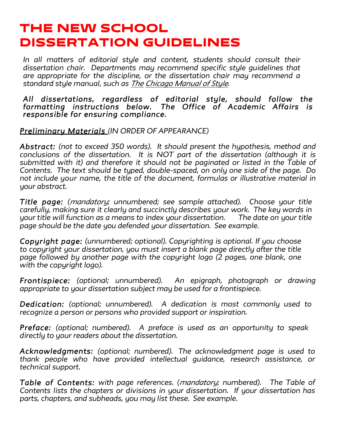# THE NEW SCHOOL DISSERTATION GUIDELINES

*In all matters of editorial style and content, students should consult their dissertation chair. Departments may recommend specific style guidelines that are appropriate for the discipline, or the dissertation chair may recommend a standard style manual, such as The Chicago Manual of Style.*

#### *All dissertations, regardless of editorial style, should follow the formatting instructions below. The Office of Academic Affairs is responsible for ensuring compliance.*

*Preliminary Materials (IN ORDER OF APPEARANCE)*

*Abstract: (not to exceed 350 words). It should present the hypothesis, method and conclusions of the dissertation. It is NOT part of the dissertation (although it is submitted with it) and therefore it should not be paginated or listed in the Table of Contents. The text should be typed, double-spaced, on only one side of the page. Do not include your name, the title of the document, formulas or illustrative material in your abstract.*

*Title page: (mandatory; unnumbered; see sample attached). Choose your title carefully, making sure it clearly and succinctly describes your work. The key words in your title will function as a means to index your dissertation. The date on your title page should be the date you defended your dissertation. See example.*

*Copyright page: (unnumbered; optional). Copyrighting is optional. If you choose to copyright your dissertation, you must insert a blank page directly after the title page followed by another page with the copyright logo (2 pages, one blank, one with the copyright logo).*

*Frontispiece: (optional; unnumbered). An epigraph, photograph or drawing appropriate to your dissertation subject may be used for a frontispiece.*

*Dedication: (optional; unnumbered). A dedication is most commonly used to recognize a person or persons who provided support or inspiration.*

*Preface: (optional; numbered). A preface is used as an opportunity to speak directly to your readers about the dissertation.*

*Acknowledgments: (optional; numbered). The acknowledgment page is used to thank people who have provided intellectual guidance, research assistance, or technical support.*

*Table of Contents: with page references. (mandatory; numbered). The Table of Contents lists the chapters or divisions in your dissertation. If your dissertation has parts, chapters, and subheads, you may list these. See example.*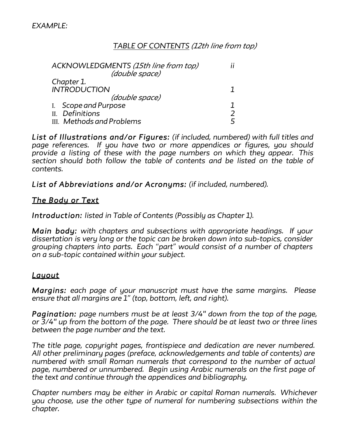# *TABLE OF CONTENTS (12th line from top)*

|                     | ACKNOWLEDGMENTS (15th line from top) |  |
|---------------------|--------------------------------------|--|
|                     | (double space)                       |  |
|                     | Chapter 1.                           |  |
| <b>INTRODUCTION</b> |                                      |  |
|                     | (double space)                       |  |
|                     | I. Scope and Purpose                 |  |
|                     | II. Definitions                      |  |
|                     | III. Methods and Problems            |  |

*List of Illustrations and/or Figures: (if included, numbered) with full titles and page references. If you have two or more appendices or figures, you should provide a listing of these with the page numbers on which they appear. This section should both follow the table of contents and be listed on the table of contents.*

*List of Abbreviations and/or Acronyms: (if included, numbered).*

### *The Body or Text*

*Introduction: listed in Table of Contents (Possibly as Chapter 1).*

*Main body: with chapters and subsections with appropriate headings. If your dissertation is very long or the topic can be broken down into sub-topics, consider grouping chapters into parts. Each "part" would consist of a number of chapters on a sub-topic contained within your subject.*

# *Layout*

*Margins: each page of your manuscript must have the same margins. Please ensure that all margins are 1" (top, bottom, left, and right).*

*Pagination: page numbers must be at least 3/4" down from the top of the page, or 3/4" up from the bottom of the page. There should be at least two or three lines between the page number and the text.*

*The title page, copyright pages, frontispiece and dedication are never numbered. All other preliminary pages (preface, acknowledgements and table of contents) are numbered with small Roman numerals that correspond to the number of actual page, numbered or unnumbered. Begin using Arabic numerals on the first page of the text and continue through the appendices and bibliography.*

*Chapter numbers may be either in Arabic or capital Roman numerals. Whichever you choose, use the other type of numeral for numbering subsections within the chapter.*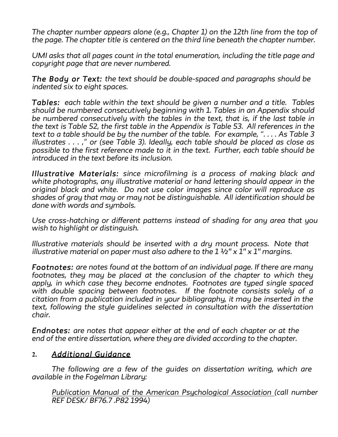*The chapter number appears alone (e.g., Chapter 1) on the 12th line from the top of the page. The chapter title is centered on the third line beneath the chapter number.*

*UMI asks that all pages count in the total enumeration, including the title page and copyright page that are never numbered.*

*The Body or Text: the text should be double-spaced and paragraphs should be indented six to eight spaces.*

*Tables: each table within the text should be given a number and a title. Tables should be numbered consecutively beginning with 1. Tables in an Appendix should be numbered consecutively with the tables in the text, that is, if the last table in the text is Table 52, the first table in the Appendix is Table 53. All references in the text to a table should be by the number of the table. For example, ". . . . As Table 3 illustrates . . . ," or (see Table 3). Ideally, each table should be placed as close as possible to the first reference made to it in the text. Further, each table should be introduced in the text before its inclusion.*

*Illustrative Materials: since microfilming is a process of making black and white photographs, any illustrative material or hand lettering should appear in the original black and white. Do not use color images since color will reproduce as shades of gray that may or may not be distinguishable. All identification should be done with words and symbols.*

*Use cross-hatching or different patterns instead of shading for any area that you wish to highlight or distinguish.*

*Illustrative materials should be inserted with a dry mount process. Note that illustrative material on paper must also adhere to the 1 ½" x 1" x 1" margins.*

*Footnotes: are notes found at the bottom of an individual page. If there are many footnotes, they may be placed at the conclusion of the chapter to which they apply, in which case they become endnotes. Footnotes are typed single spaced with double spacing between footnotes. If the footnote consists solely of a citation from a publication included in your bibliography, it may be inserted in the text, following the style guidelines selected in consultation with the dissertation chair.*

*Endnotes: are notes that appear either at the end of each chapter or at the end of the entire dissertation, where they are divided according to the chapter.*

# **2.** *Additional Guidance*

*The following are a few of the guides on dissertation writing, which are available in the Fogelman Library:*

*Publication Manual of the American Psychological Association (call number REF DESK/ BF76.7 .P82 1994)*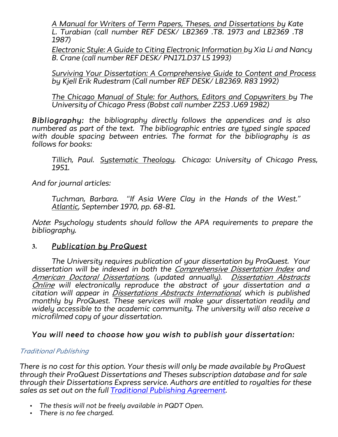*A Manual for Writers of Term Papers, Theses, and Dissertations by Kate L. Turabian (call number REF DESK/ LB2369 .T8. 1973 and LB2369 .T8 1987)*

*Electronic Style: A Guide to Citing Electronic Information by Xia Li and Nancy B. Crane (call number REF DESK/ PN171.D37 L5 1993)*

*Surviving Your Dissertation: A Comprehensive Guide to Content and Process by Kjell Erik Rudestram (Call number REF DESK/ LB2369. R83 1992)*

*The Chicago Manual of Style: for Authors, Editors and Copywriters by The University of Chicago Press (Bobst call number Z253 .U69 1982)*

*Bibliography: the bibliography directly follows the appendices and is also numbered as part of the text. The bibliographic entries are typed single spaced with double spacing between entries. The format for the bibliography is as follows for books:*

*Tillich, Paul. Systematic Theology. Chicago: University of Chicago Press, 1951.*

*And for journal articles:*

*Tuchman, Barbara. "If Asia Were Clay in the Hands of the West." Atlantic, September 1970, pp. 68-81.*

*Note: Psychology students should follow the APA requirements to prepare the bibliography.*

# **3.** *Publication by ProQuest*

*The University requires publication of your dissertation by ProQuest. Your dissertation will be indexed in both the Comprehensive Dissertation Index and American Doctoral Dissertations, (updated annually). Dissertation Abstracts Online will electronically reproduce the abstract of your dissertation and a citation will appear in Dissertations Abstracts International, which is published monthly by ProQuest. These services will make your dissertation readily and widely accessible to the academic community. The university will also receive a microfilmed copy of your dissertation.*

# *You will need to choose how you wish to publish your dissertation:*

#### *Traditional Publishing*

*There is no cost for this option. Your thesis will only be made available by ProQuest through their ProQuest Dissertations and Theses subscription database and for sale through their Dissertations Express service. Authors are entitled to royalties for these sales as set out on the full Traditional Publishing Agreement.*

- *The thesis will not be freely available in PQDT Open.*
- *There is no fee charged.*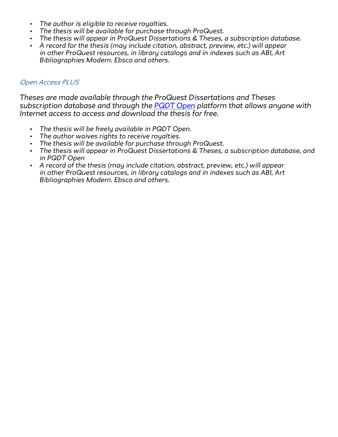- *The author is eligible to receive royalties.*
- *The thesis will be available for purchase through ProQuest.*
- *The thesis will appear in ProQuest Dissertations & Theses, a subscription database.*
- *A record for the thesis (may include citation, abstract, preview, etc.) will appear in other ProQuest resources, in library catalogs and in indexes such as ABI, Art Bibliographies Modern. Ebsco and others.*

#### *Open Access PLUS*

*Theses are made available through the ProQuest Dissertations and Theses subscription database and through the PQDT Open platform that allows anyone with Internet access to access and download the thesis for free.*

- *The thesis will be freely available in PQDT Open.*
- *The author waives rights to receive royalties.*
- *The thesis will be available for purchase through ProQuest.*
- *The thesis will appear in ProQuest Dissertations & Theses, a subscription database, and in PQDT Open*
- *A record of the thesis (may include citation, abstract, preview, etc.) will appear in other ProQuest resources, in library catalogs and in indexes such as ABI, Art Bibliographies Modern. Ebsco and others.*